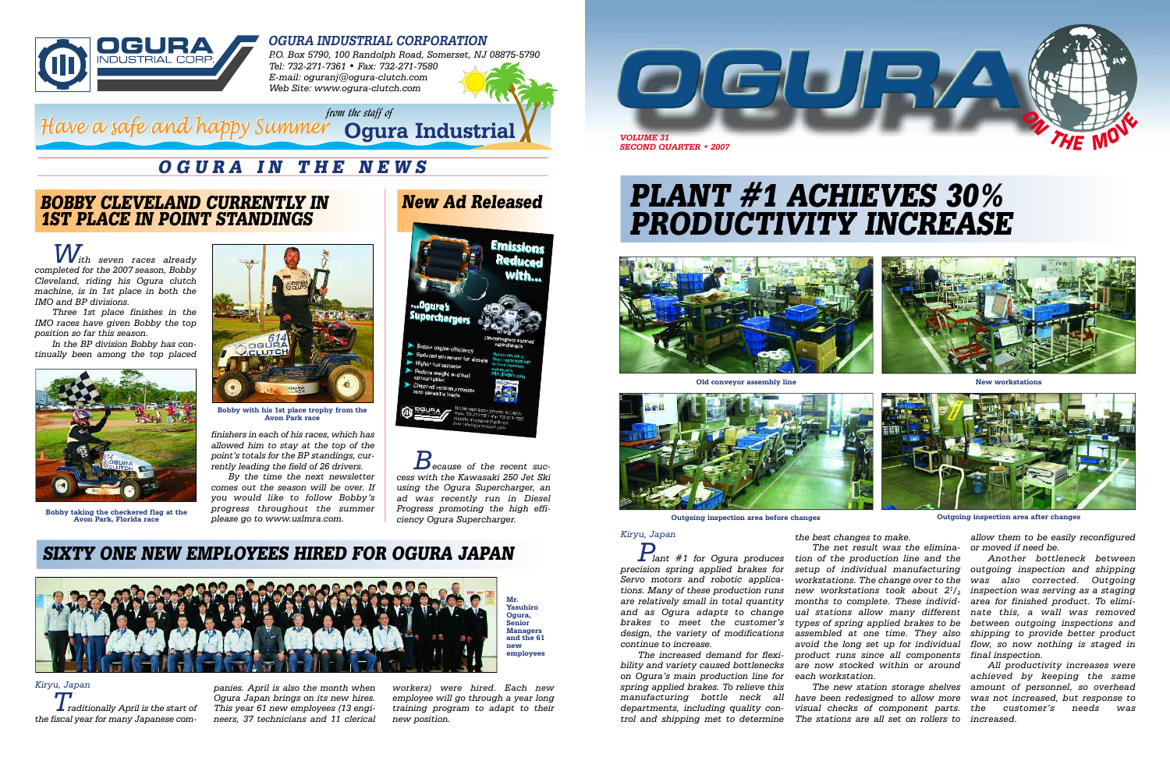

**Avon Park race**

*P.O. Box 5790, 100 Randolph Road, Somerset, NJ 08875-5790 Tel: 732-271-7361 • Fax: 732-271-7580 E-mail: oguranj@ogura-clutch.com Web Site: www.ogura-clutch.com*



### **OGURA INDUSTRIAL CORPORATION**



# **PLANT #1 ACHIEVES 30% PRODUCTIVITY INCREASE**

## **OGURA IN THE NEWS**

*Kiryu, Japan Traditionally April is the start of the fiscal year for many Japanese com-*

*panies. April is also the month when Ogura Japan brings on its new hires. This year 61 new employees (13 engineers, 37 technicians and 11 clerical*

*workers) were hired. Each new employee will go through a year long training program to adapt to their new position.* 

*from the staff of*

*Because of the recent success with the Kawasaki 250 Jet Ski using the Ogura Supercharger, an ad was recently run in Diesel Progress promoting the high efficiency Ogura Supercharger.*

## **BOBBY CLEVELAND CURRENTLY IN 1ST PLACE IN POINT STANDINGS**

*With seven races already completed for the 2007 season, Bobby Cleveland, riding his Ogura clutch machine, is in 1st place in both the IMO and BP divisions.* 

*Three 1st place finishes in the IMO races have given Bobby the top position so far this season.*

### **Ogura Industrial** *Have a safe and happy Summer Have a safe and happy Summer*

*In the BP division Bobby has continually been among the top placed*

## **SIXTY ONE NEW EMPLOYEES HIRED FOR OGURA JAPAN**

*the best changes to make.* 

*The net result was the elimination of the production line and the setup of individual manufacturing workstations. The change over to the new workstations took about 2<sup>1</sup>/<sup>2</sup> months to complete. These individual stations allow many different nate this, a wall was removed types of spring applied brakes to be assembled at one time. They also avoid the long set up for individual product runs since all components final inspection. are now stocked within or around each workstation. or moved if need be. Another bottleneck between outgoing inspection and shipping was also corrected. Outgoing inspection was serving as a staging area for finished product. To elimibetween outgoing inspections and shipping to provide better product flow, so now nothing is staged in All productivity increases were achieved by keeping the same*



**Bobby taking the checkered flag at the Avon Park, Florida race**



*allow them to be easily reconfigured*

*The new station storage shelves amount of personnel, so overhead have been redesigned to allow more was not increased, but response to visual checks of component parts. the customer's needs was The stations are all set on rollers to increased.*

# **New Ad Released**



*finishers in each of his races, which has allowed him to stay at the top of the point's totals for the BP standings, currently leading the field of 26 drivers.* 

*By the time the next newsletter comes out the season will be over. If you would like to follow Bobby's progress throughout the summer please go to www.uslmra.com.*



**Old conveyor assembly line**



**Outgoing inspection area before changes**

**New workstations**

**Outgoing inspection area after changes**

## *Kiryu, Japan*

*Plant #1 for Ogura produces precision spring applied brakes for Servo motors and robotic applications. Many of these production runs are relatively small in total quantity and as Ogura adapts to change brakes to meet the customer's design, the variety of modifications continue to increase.*

*The increased demand for flexibility and variety caused bottlenecks on Ogura's main production line for spring applied brakes. To relieve this manufacturing bottle neck all departments, including quality control and shipping met to determine*